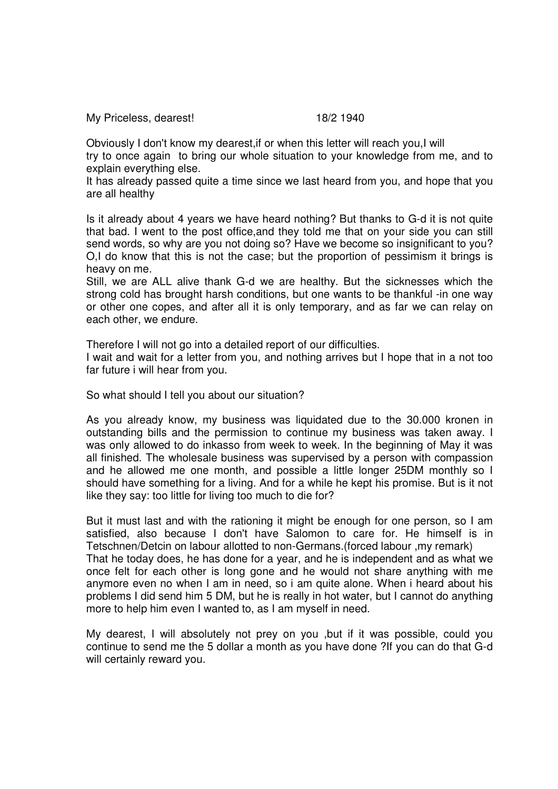My Priceless, dearest! 18/2 1940

Obviously I don't know my dearest,if or when this letter will reach you,I will try to once again to bring our whole situation to your knowledge from me, and to explain everything else.

It has already passed quite a time since we last heard from you, and hope that you are all healthy

Is it already about 4 years we have heard nothing? But thanks to G-d it is not quite that bad. I went to the post office,and they told me that on your side you can still send words, so why are you not doing so? Have we become so insignificant to you? O,I do know that this is not the case; but the proportion of pessimism it brings is heavy on me.

Still, we are ALL alive thank G-d we are healthy. But the sicknesses which the strong cold has brought harsh conditions, but one wants to be thankful -in one way or other one copes, and after all it is only temporary, and as far we can relay on each other, we endure.

Therefore I will not go into a detailed report of our difficulties.

I wait and wait for a letter from you, and nothing arrives but I hope that in a not too far future i will hear from you.

So what should I tell you about our situation?

As you already know, my business was liquidated due to the 30.000 kronen in outstanding bills and the permission to continue my business was taken away. I was only allowed to do inkasso from week to week. In the beginning of May it was all finished. The wholesale business was supervised by a person with compassion and he allowed me one month, and possible a little longer 25DM monthly so I should have something for a living. And for a while he kept his promise. But is it not like they say: too little for living too much to die for?

But it must last and with the rationing it might be enough for one person, so I am satisfied, also because I don't have Salomon to care for. He himself is in Tetschnen/Detcin on labour allotted to non-Germans.(forced labour ,my remark) That he today does, he has done for a year, and he is independent and as what we once felt for each other is long gone and he would not share anything with me anymore even no when I am in need, so i am quite alone. When i heard about his problems I did send him 5 DM, but he is really in hot water, but I cannot do anything more to help him even I wanted to, as I am myself in need.

My dearest, I will absolutely not prey on you ,but if it was possible, could you continue to send me the 5 dollar a month as you have done ?If you can do that G-d will certainly reward you.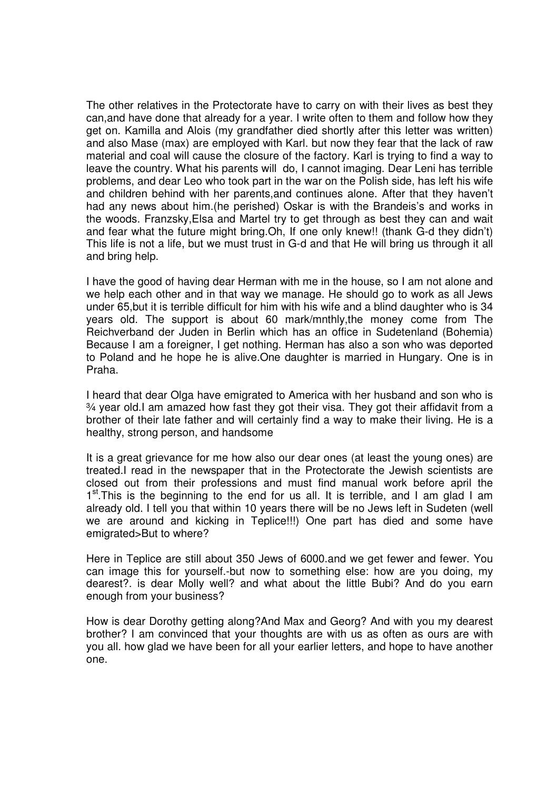The other relatives in the Protectorate have to carry on with their lives as best they can,and have done that already for a year. I write often to them and follow how they get on. Kamilla and Alois (my grandfather died shortly after this letter was written) and also Mase (max) are employed with Karl. but now they fear that the lack of raw material and coal will cause the closure of the factory. Karl is trying to find a way to leave the country. What his parents will do, I cannot imaging. Dear Leni has terrible problems, and dear Leo who took part in the war on the Polish side, has left his wife and children behind with her parents,and continues alone. After that they haven't had any news about him.(he perished) Oskar is with the Brandeis's and works in the woods. Franzsky,Elsa and Martel try to get through as best they can and wait and fear what the future might bring.Oh, If one only knew!! (thank G-d they didn't) This life is not a life, but we must trust in G-d and that He will bring us through it all and bring help.

I have the good of having dear Herman with me in the house, so I am not alone and we help each other and in that way we manage. He should go to work as all Jews under 65,but it is terrible difficult for him with his wife and a blind daughter who is 34 years old. The support is about 60 mark/mnthly,the money come from The Reichverband der Juden in Berlin which has an office in Sudetenland (Bohemia) Because I am a foreigner, I get nothing. Herman has also a son who was deported to Poland and he hope he is alive.One daughter is married in Hungary. One is in Praha.

I heard that dear Olga have emigrated to America with her husband and son who is ¾ year old.I am amazed how fast they got their visa. They got their affidavit from a brother of their late father and will certainly find a way to make their living. He is a healthy, strong person, and handsome

It is a great grievance for me how also our dear ones (at least the young ones) are treated.I read in the newspaper that in the Protectorate the Jewish scientists are closed out from their professions and must find manual work before april the 1<sup>st</sup>. This is the beginning to the end for us all. It is terrible, and I am glad I am already old. I tell you that within 10 years there will be no Jews left in Sudeten (well we are around and kicking in Teplice!!!) One part has died and some have emigrated>But to where?

Here in Teplice are still about 350 Jews of 6000.and we get fewer and fewer. You can image this for yourself.-but now to something else: how are you doing, my dearest?. is dear Molly well? and what about the little Bubi? And do you earn enough from your business?

How is dear Dorothy getting along?And Max and Georg? And with you my dearest brother? I am convinced that your thoughts are with us as often as ours are with you all. how glad we have been for all your earlier letters, and hope to have another one.